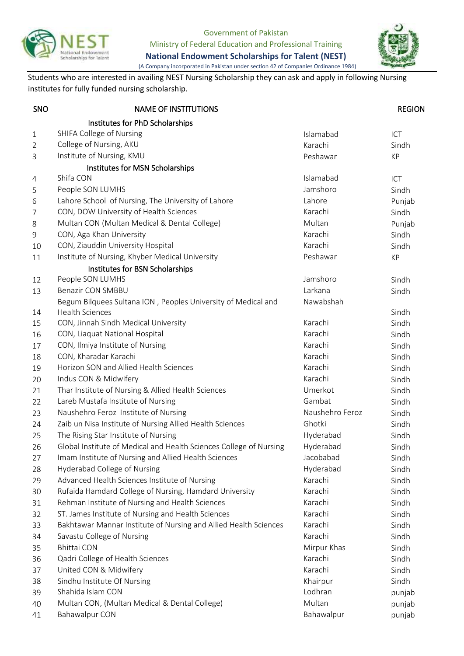

Government of Pakistan

Ministry of Federal Education and Professional Training



**National Endowment Scholarships for Talent (NEST)** (A Company incorporated in Pakistan under section 42 of Companies Ordinance 1984)

Students who are interested in availing NEST Nursing Scholarship they can ask and apply in following Nursing institutes for fully funded nursing scholarship.

| SNO            | <b>NAME OF INSTITUTIONS</b>                                        |                 | <b>REGION</b> |
|----------------|--------------------------------------------------------------------|-----------------|---------------|
|                | Institutes for PhD Scholarships                                    |                 |               |
| $\mathbf{1}$   | SHIFA College of Nursing                                           | Islamabad       | ICT           |
| $\overline{2}$ | College of Nursing, AKU                                            | Karachi         | Sindh         |
| 3              | Institute of Nursing, KMU                                          | Peshawar        | KP            |
|                | Institutes for MSN Scholarships                                    |                 |               |
| 4              | Shifa CON                                                          | Islamabad       | ICT           |
| 5              | People SON LUMHS                                                   | Jamshoro        | Sindh         |
| 6              | Lahore School of Nursing, The University of Lahore                 | Lahore          | Punjab        |
| 7              | CON, DOW University of Health Sciences                             | Karachi         | Sindh         |
| 8              | Multan CON (Multan Medical & Dental College)                       | Multan          | Punjab        |
| 9              | CON, Aga Khan University                                           | Karachi         | Sindh         |
| 10             | CON, Ziauddin University Hospital                                  | Karachi         | Sindh         |
| 11             | Institute of Nursing, Khyber Medical University                    | Peshawar        | KP            |
|                | Institutes for BSN Scholarships                                    |                 |               |
| 12             | People SON LUMHS                                                   | Jamshoro        | Sindh         |
| 13             | <b>Benazir CON SMBBU</b>                                           | Larkana         | Sindh         |
|                | Begum Bilquees Sultana ION, Peoples University of Medical and      | Nawabshah       |               |
| 14             | <b>Health Sciences</b>                                             |                 | Sindh         |
| 15             | CON, Jinnah Sindh Medical University                               | Karachi         | Sindh         |
| 16             | CON, Liaquat National Hospital                                     | Karachi         | Sindh         |
| 17             | CON, Ilmiya Institute of Nursing                                   | Karachi         | Sindh         |
| 18             | CON, Kharadar Karachi                                              | Karachi         | Sindh         |
| 19             | Horizon SON and Allied Health Sciences                             | Karachi         | Sindh         |
| 20             | Indus CON & Midwifery                                              | Karachi         | Sindh         |
| 21             | Thar Institute of Nursing & Allied Health Sciences                 | Umerkot         | Sindh         |
| 22             | Lareb Mustafa Institute of Nursing                                 | Gambat          | Sindh         |
| 23             | Naushehro Feroz Institute of Nursing                               | Naushehro Feroz | Sindh         |
| 24             | Zaib un Nisa Institute of Nursing Allied Health Sciences           | Ghotki          | Sindh         |
| 25             | The Rising Star Institute of Nursing                               | Hyderabad       | Sindh         |
| 26             | Global Institute of Medical and Health Sciences College of Nursing | Hyderabad       | Sindh         |
| 27             | Imam Institute of Nursing and Allied Health Sciences               | Jacobabad       | Sindh         |
| 28             | Hyderabad College of Nursing                                       | Hyderabad       | Sindh         |
| 29             | Advanced Health Sciences Institute of Nursing                      | Karachi         | Sindh         |
| 30             | Rufaida Hamdard College of Nursing, Hamdard University             | Karachi         | Sindh         |
| 31             | Rehman Institute of Nursing and Health Sciences                    | Karachi         | Sindh         |
| 32             | ST. James Institute of Nursing and Health Sciences                 | Karachi         | Sindh         |
| 33             | Bakhtawar Mannar Institute of Nursing and Allied Health Sciences   | Karachi         | Sindh         |
| 34             | Savastu College of Nursing                                         | Karachi         | Sindh         |
| 35             | <b>Bhittai CON</b>                                                 | Mirpur Khas     | Sindh         |
| 36             | Qadri College of Health Sciences                                   | Karachi         | Sindh         |
| 37             | United CON & Midwifery                                             | Karachi         | Sindh         |
| 38             | Sindhu Institute Of Nursing                                        | Khairpur        | Sindh         |
| 39             | Shahida Islam CON                                                  | Lodhran         | punjab        |
| 40             | Multan CON, (Multan Medical & Dental College)                      | Multan          | punjab        |
| 41             | <b>Bahawalpur CON</b>                                              | Bahawalpur      | punjab        |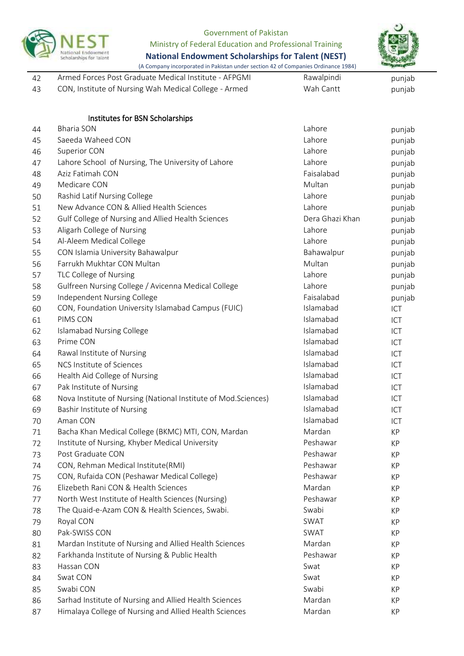

## Government of Pakistan

Ministry of Federal Education and Professional Training

**National Endowment Scholarships for Talent (NEST)**



(A Company incorporated in Pakistan under section 42 of Companies Ordinance 1984)

| -42 | Armed Forces Post Graduate Medical Institute - AFPGMI | Rawalpindi | punjab |
|-----|-------------------------------------------------------|------------|--------|
| -43 | CON, Institute of Nursing Wah Medical College - Armed | Wah Cantt  | punjab |

|    | Institutes for BSN Scholarships                                |                 |        |
|----|----------------------------------------------------------------|-----------------|--------|
| 44 | <b>Bharia SON</b>                                              | Lahore          | punjab |
| 45 | Saeeda Waheed CON                                              | Lahore          | punjab |
| 46 | Superior CON                                                   | Lahore          | punjab |
| 47 | Lahore School of Nursing, The University of Lahore             | Lahore          | punjab |
| 48 | Aziz Fatimah CON                                               | Faisalabad      | punjab |
| 49 | Medicare CON                                                   | Multan          | punjab |
| 50 | Rashid Latif Nursing College                                   | Lahore          | punjab |
| 51 | New Advance CON & Allied Health Sciences                       | Lahore          | punjab |
| 52 | Gulf College of Nursing and Allied Health Sciences             | Dera Ghazi Khan | punjab |
| 53 | Aligarh College of Nursing                                     | Lahore          | punjab |
| 54 | Al-Aleem Medical College                                       | Lahore          | punjab |
| 55 | CON Islamia University Bahawalpur                              | Bahawalpur      | punjab |
| 56 | Farrukh Mukhtar CON Multan                                     | Multan          | punjab |
| 57 | TLC College of Nursing                                         | Lahore          | punjab |
| 58 | Gulfreen Nursing College / Avicenna Medical College            | Lahore          | punjab |
| 59 | Independent Nursing College                                    | Faisalabad      | punjab |
| 60 | CON, Foundation University Islamabad Campus (FUIC)             | Islamabad       | ICT    |
| 61 | PIMS CON                                                       | Islamabad       | ICT    |
| 62 | <b>Islamabad Nursing College</b>                               | Islamabad       | ICT    |
| 63 | Prime CON                                                      | Islamabad       | ICT    |
| 64 | Rawal Institute of Nursing                                     | Islamabad       | ICT    |
| 65 | NCS Institute of Sciences                                      | Islamabad       | ICT    |
| 66 | Health Aid College of Nursing                                  | Islamabad       | ICT    |
| 67 | Pak Institute of Nursing                                       | Islamabad       | ICT    |
| 68 | Nova Institute of Nursing (National Institute of Mod.Sciences) | Islamabad       | ICT    |
| 69 | Bashir Institute of Nursing                                    | Islamabad       | ICT    |
| 70 | Aman CON                                                       | Islamabad       | ICT    |
| 71 | Bacha Khan Medical College (BKMC) MTI, CON, Mardan             | Mardan          | KP     |
| 72 | Institute of Nursing, Khyber Medical University                | Peshawar        | KP     |
| 73 | Post Graduate CON                                              | Peshawar        | КP     |
| 74 | CON, Rehman Medical Institute(RMI)                             | Peshawar        | КP     |
| 75 | CON, Rufaida CON (Peshawar Medical College)                    | Peshawar        | KP     |
| 76 | Elizebeth Rani CON & Health Sciences                           | Mardan          | KP     |
| 77 | North West Institute of Health Sciences (Nursing)              | Peshawar        | KP     |
| 78 | The Quaid-e-Azam CON & Health Sciences, Swabi.                 | Swabi           | KP     |
| 79 | Royal CON                                                      | SWAT            | KP     |
| 80 | Pak-SWISS CON                                                  | SWAT            | KP     |
| 81 | Mardan Institute of Nursing and Allied Health Sciences         | Mardan          | KP     |
| 82 | Farkhanda Institute of Nursing & Public Health                 | Peshawar        | KP     |
| 83 | Hassan CON                                                     | Swat            | KP     |
| 84 | Swat CON                                                       | Swat            | KP     |
| 85 | Swabi CON                                                      | Swabi           | KP     |
| 86 | Sarhad Institute of Nursing and Allied Health Sciences         | Mardan          | KP     |
| 87 | Himalaya College of Nursing and Allied Health Sciences         | Mardan          | KP     |